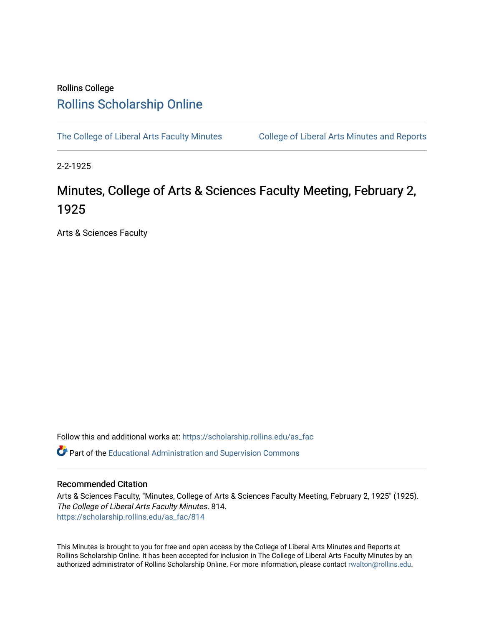## Rollins College [Rollins Scholarship Online](https://scholarship.rollins.edu/)

[The College of Liberal Arts Faculty Minutes](https://scholarship.rollins.edu/as_fac) College of Liberal Arts Minutes and Reports

2-2-1925

# Minutes, College of Arts & Sciences Faculty Meeting, February 2, 1925

Arts & Sciences Faculty

Follow this and additional works at: [https://scholarship.rollins.edu/as\\_fac](https://scholarship.rollins.edu/as_fac?utm_source=scholarship.rollins.edu%2Fas_fac%2F814&utm_medium=PDF&utm_campaign=PDFCoverPages) 

**P** Part of the [Educational Administration and Supervision Commons](http://network.bepress.com/hgg/discipline/787?utm_source=scholarship.rollins.edu%2Fas_fac%2F814&utm_medium=PDF&utm_campaign=PDFCoverPages)

#### Recommended Citation

Arts & Sciences Faculty, "Minutes, College of Arts & Sciences Faculty Meeting, February 2, 1925" (1925). The College of Liberal Arts Faculty Minutes. 814. [https://scholarship.rollins.edu/as\\_fac/814](https://scholarship.rollins.edu/as_fac/814?utm_source=scholarship.rollins.edu%2Fas_fac%2F814&utm_medium=PDF&utm_campaign=PDFCoverPages) 

This Minutes is brought to you for free and open access by the College of Liberal Arts Minutes and Reports at Rollins Scholarship Online. It has been accepted for inclusion in The College of Liberal Arts Faculty Minutes by an authorized administrator of Rollins Scholarship Online. For more information, please contact [rwalton@rollins.edu](mailto:rwalton@rollins.edu).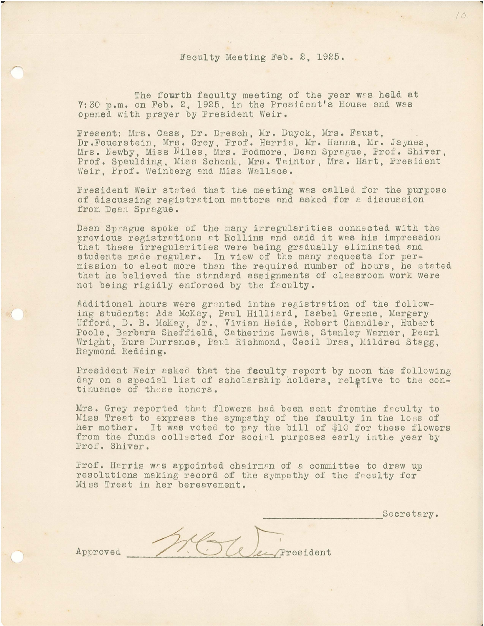#### Faculty Meeting Feb. 2, 1925.

The fourth faculty meeting of the year wes held at 7:30 p.m. on Feb. 2, 1925, in the President's House and wes opened with prayer by President Weir.

Present: Mrs. Cass, Dr. Dresch, Mr. Duyck, Mrs. Faust, Dr.Feuerstein, Mrs. Grey, Prof. Harris, Mr. Hanna, Mr. Jaynes, Mrs. Newby, Miss Niles, Mrs. Podmore, Dean Sprague, Prof. Shiver, Prof. Spaulding, Miss Schenk, Mrs. Taintor, Mrs. Hart, President Weir. Prof. Weinberg and Miss Wallace.

President Weir stated that the meeting was called for the purpose of discussing registration matters and asked for a discussion from Dean Sprague.

Deen Sprague spoke of the many irregularities connected with the previous registrations et Rollins and said it was his impression that these irregularities were being gradually eliminated and students made regular. In view of the many requests for permission to elect more than the required number of hours, he stated that he believed the standard assignments of classroom work were not being rigidly enforced by the faculty.

Additional hours were granted inthe registration of the following students: Ada McKay, Paul Hilliard, Isabel Greene, Margery Ufford, D. B. McKay, Jr., Vivian Heide, Robert Chandler, Hubert Poole, Barbara Sheffield, Catherine Lewis, Stanley Warner, Pearl Wright, Eura Durrance, Paul Richmond, Cecil Draa, Mildred Stagg, Raymond Redding.

President Weir asked that the feculty report by noon the following day on a special list of scholarship holders, relative to the continuance of these honors.

Mrs. Grey reported that flowers had been sent from the faculty to Miss Treat to express the sympathy of the faculty in the loss of her mother. It was voted to pay the bill of \$10 for these flowers from the funds collected for social purposes early inthe year by Prof. Shiver.

Prof. Harris was appointed chairman of a committee to draw up resolutions making record of the sympathy of the feculty for Miss Treat in her bereavement.

Secretary. President

Approved

*(*